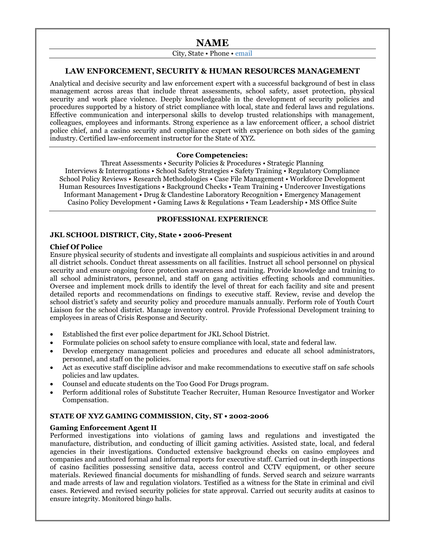# **NAME**

# City, State • Phone • email

## **LAW ENFORCEMENT, SECURITY & HUMAN RESOURCES MANAGEMENT**

Analytical and decisive security and law enforcement expert with a successful background of best in class management across areas that include threat assessments, school safety, asset protection, physical security and work place violence. Deeply knowledgeable in the development of security policies and procedures supported by a history of strict compliance with local, state and federal laws and regulations. Effective communication and interpersonal skills to develop trusted relationships with management, colleagues, employees and informants. Strong experience as a law enforcement officer, a school district police chief, and a casino security and compliance expert with experience on both sides of the gaming industry. Certified law-enforcement instructor for the State of XYZ.

#### **Core Competencies:**

Threat Assessments • Security Policies & Procedures • Strategic Planning Interviews & Interrogations • School Safety Strategies • Safety Training • Regulatory Compliance School Policy Reviews • Research Methodologies • Case File Management • Workforce Development Human Resources Investigations • Background Checks • Team Training • Undercover Investigations Informant Management • Drug & Clandestine Laboratory Recognition • Emergency Management Casino Policy Development • Gaming Laws & Regulations • Team Leadership • MS Office Suite

## **PROFESSIONAL EXPERIENCE**

#### **JKL SCHOOL DISTRICT, City, State • 2006-Present**

#### **Chief Of Police**

Ensure physical security of students and investigate all complaints and suspicious activities in and around all district schools. Conduct threat assessments on all facilities. Instruct all school personnel on physical security and ensure ongoing force protection awareness and training. Provide knowledge and training to all school administrators, personnel, and staff on gang activities effecting schools and communities. Oversee and implement mock drills to identify the level of threat for each facility and site and present detailed reports and recommendations on findings to executive staff. Review, revise and develop the school district's safety and security policy and procedure manuals annually. Perform role of Youth Court Liaison for the school district. Manage inventory control. Provide Professional Development training to employees in areas of Crisis Response and Security.

- Established the first ever police department for JKL School District.
- Formulate policies on school safety to ensure compliance with local, state and federal law.
- Develop emergency management policies and procedures and educate all school administrators, personnel, and staff on the policies.
- Act as executive staff discipline advisor and make recommendations to executive staff on safe schools policies and law updates.
- Counsel and educate students on the Too Good For Drugs program.
- Perform additional roles of Substitute Teacher Recruiter, Human Resource Investigator and Worker Compensation.

## **STATE OF XYZ GAMING COMMISSION, City, ST • 2002-2006**

## **Gaming Enforcement Agent II**

Performed investigations into violations of gaming laws and regulations and investigated the manufacture, distribution, and conducting of illicit gaming activities. Assisted state, local, and federal agencies in their investigations. Conducted extensive background checks on casino employees and companies and authored formal and informal reports for executive staff. Carried out in-depth inspections of casino facilities possessing sensitive data, access control and CCTV equipment, or other secure materials. Reviewed financial documents for mishandling of funds. Served search and seizure warrants and made arrests of law and regulation violators. Testified as a witness for the State in criminal and civil cases. Reviewed and revised security policies for state approval. Carried out security audits at casinos to ensure integrity. Monitored bingo halls.

Resume